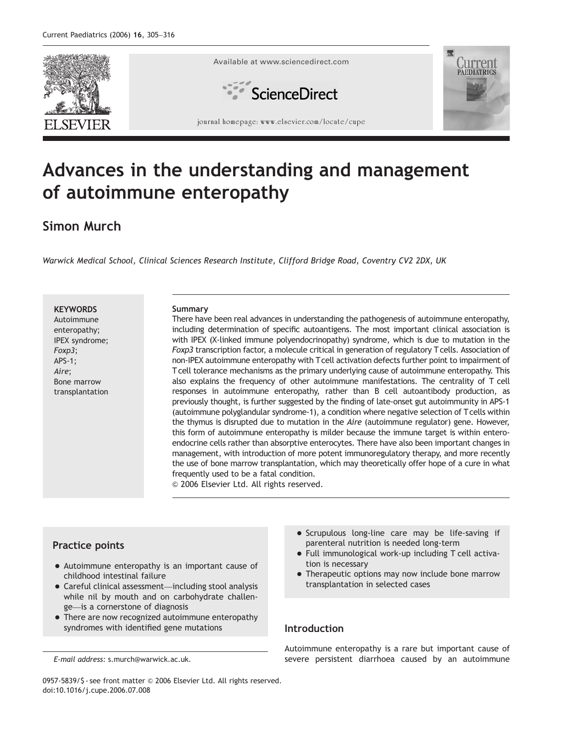

# Advances in the understanding and management of autoimmune enteropathy

## Simon Murch

Warwick Medical School, Clinical Sciences Research Institute, Clifford Bridge Road, Coventry CV2 2DX, UK

**KEYWORDS** 

Autoimmune enteropathy; IPEX syndrome; Foxp3; APS-1; Aire; Bone marrow transplantation

#### Summary

There have been real advances in understanding the pathogenesis of autoimmune enteropathy, including determination of specific autoantigens. The most important clinical association is with IPEX (X-linked immune polyendocrinopathy) syndrome, which is due to mutation in the Foxp3 transcription factor, a molecule critical in generation of regulatory T cells. Association of non-IPEX autoimmune enteropathy with Tcell activation defects further point to impairment of T cell tolerance mechanisms as the primary underlying cause of autoimmune enteropathy. This also explains the frequency of other autoimmune manifestations. The centrality of T cell responses in autoimmune enteropathy, rather than B cell autoantibody production, as previously thought, is further suggested by the finding of late-onset gut autoimmunity in APS-1 (autoimmune polyglandular syndrome-1), a condition where negative selection of Tcells within the thymus is disrupted due to mutation in the Aire (autoimmune regulator) gene. However, this form of autoimmune enteropathy is milder because the immune target is within enteroendocrine cells rather than absorptive enterocytes. There have also been important changes in management, with introduction of more potent immunoregulatory therapy, and more recently the use of bone marrow transplantation, which may theoretically offer hope of a cure in what frequently used to be a fatal condition.

 $\odot$  2006 Elsevier Ltd. All rights reserved.

## Practice points

- Autoimmune enteropathy is an important cause of childhood intestinal failure
- Careful clinical assessment—including stool analysis while nil by mouth and on carbohydrate challenge—is a cornerstone of diagnosis
- There are now recognized autoimmune enteropathy syndromes with identified gene mutations
- Scrupulous long-line care may be life-saving if parenteral nutrition is needed long-term
- Full immunological work-up including T cell activation is necessary
- Therapeutic options may now include bone marrow transplantation in selected cases

## Introduction

Autoimmune enteropathy is a rare but important cause of severe persistent diarrhoea caused by an autoimmune

0957-5839/\$ - see front matter © 2006 Elsevier Ltd. All rights reserved. doi:10.1016/j.cupe.2006.07.008

E-mail address: s.murch@warwick.ac.uk.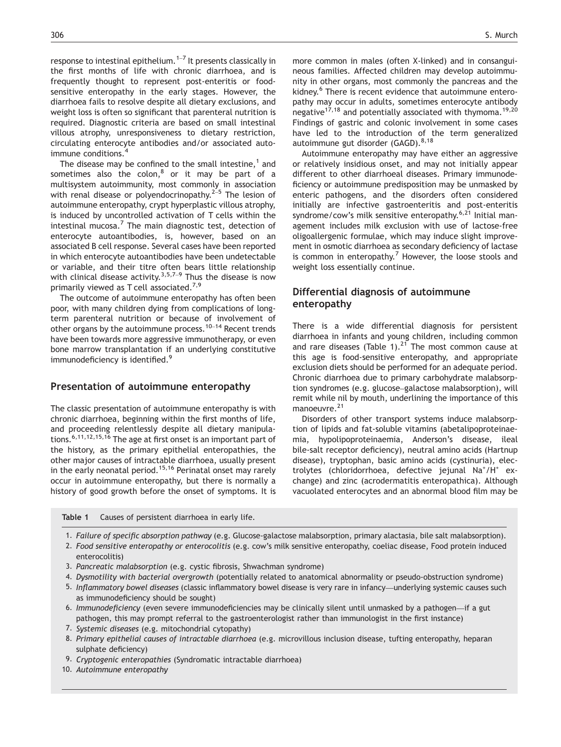response to intestinal epithelium.<sup>1–7</sup> It presents classically in the first months of life with chronic diarrhoea, and is frequently thought to represent post-enteritis or foodsensitive enteropathy in the early stages. However, the diarrhoea fails to resolve despite all dietary exclusions, and weight loss is often so significant that parenteral nutrition is required. Diagnostic criteria are based on small intestinal villous atrophy, unresponsiveness to dietary restriction, circulating enterocyte antibodies and/or associated autoimmune conditions.<sup>4</sup>

The disease may be confined to the small intestine, $<sup>1</sup>$  and</sup> sometimes also the colon, $8$  or it may be part of a multisystem autoimmunity, most commonly in association with renal disease or polyendocrinopathy. $2^{2-5}$  The lesion of autoimmune enteropathy, crypt hyperplastic villous atrophy, is induced by uncontrolled activation of T cells within the intestinal mucosa.<sup>7</sup> The main diagnostic test, detection of enterocyte autoantibodies, is, however, based on an associated B cell response. Several cases have been reported in which enterocyte autoantibodies have been undetectable or variable, and their titre often bears little relationship with clinical disease activity.<sup>3,5,7-9</sup> Thus the disease is now primarily viewed as T cell associated.<sup>7,9</sup>

The outcome of autoimmune enteropathy has often been poor, with many children dying from complications of longterm parenteral nutrition or because of involvement of other organs by the autoimmune process.<sup>10–14</sup> Recent trends have been towards more aggressive immunotherapy, or even bone marrow transplantation if an underlying constitutive immunodeficiency is identified.<sup>9</sup>

## Presentation of autoimmune enteropathy

The classic presentation of autoimmune enteropathy is with chronic diarrhoea, beginning within the first months of life, and proceeding relentlessly despite all dietary manipulations.6,11,12,15,16 The age at first onset is an important part of the history, as the primary epithelial enteropathies, the other major causes of intractable diarrhoea, usually present in the early neonatal period.<sup>15,16</sup> Perinatal onset may rarely occur in autoimmune enteropathy, but there is normally a history of good growth before the onset of symptoms. It is more common in males (often X-linked) and in consanguineous families. Affected children may develop autoimmunity in other organs, most commonly the pancreas and the kidney.<sup>6</sup> There is recent evidence that autoimmune enteropathy may occur in adults, sometimes enterocyte antibody negative<sup>17,18</sup> and potentially associated with thymoma.<sup>19,20</sup> Findings of gastric and colonic involvement in some cases have led to the introduction of the term generalized autoimmune gut disorder (GAGD).<sup>8,18</sup>

Autoimmune enteropathy may have either an aggressive or relatively insidious onset, and may not initially appear different to other diarrhoeal diseases. Primary immunodeficiency or autoimmune predisposition may be unmasked by enteric pathogens, and the disorders often considered initially are infective gastroenteritis and post-enteritis syndrome/cow's milk sensitive enteropathy. $6,21$  Initial management includes milk exclusion with use of lactose-free oligoallergenic formulae, which may induce slight improvement in osmotic diarrhoea as secondary deficiency of lactase is common in enteropathy.<sup>7</sup> However, the loose stools and weight loss essentially continue.

## Differential diagnosis of autoimmune enteropathy

There is a wide differential diagnosis for persistent diarrhoea in infants and young children, including common and rare diseases (Table 1).<sup>21</sup> The most common cause at this age is food-sensitive enteropathy, and appropriate exclusion diets should be performed for an adequate period. Chronic diarrhoea due to primary carbohydrate malabsorption syndromes (e.g. glucose–galactose malabsorption), will remit while nil by mouth, underlining the importance of this manoeuvre.<sup>21</sup>

Disorders of other transport systems induce malabsorption of lipids and fat-soluble vitamins (abetalipoproteinaemia, hypolipoproteinaemia, Anderson's disease, ileal bile-salt receptor deficiency), neutral amino acids (Hartnup disease), tryptophan, basic amino acids (cystinuria), electrolytes (chloridorrhoea, defective jejunal Na<sup>+</sup>/H<sup>+</sup> exchange) and zinc (acrodermatitis enteropathica). Although vacuolated enterocytes and an abnormal blood film may be

Table 1 Causes of persistent diarrhoea in early life.

1. Failure of specific absorption pathway (e.g. Glucose-galactose malabsorption, primary alactasia, bile salt malabsorption).

- 2. Food sensitive enteropathy or enterocolitis (e.g. cow's milk sensitive enteropathy, coeliac disease, Food protein induced enterocolitis)
- 3. Pancreatic malabsorption (e.g. cystic fibrosis, Shwachman syndrome)
- 4. Dysmotility with bacterial overgrowth (potentially related to anatomical abnormality or pseudo-obstruction syndrome)
- 5. Inflammatory bowel diseases (classic inflammatory bowel disease is very rare in infancy—underlying systemic causes such as immunodeficiency should be sought)
- 6. Immunodeficiency (even severe immunodeficiencies may be clinically silent until unmasked by a pathogen—if a gut pathogen, this may prompt referral to the gastroenterologist rather than immunologist in the first instance)
- 7. Systemic diseases (e.g. mitochondrial cytopathy)
- 8. Primary epithelial causes of intractable diarrhoea (e.g. microvillous inclusion disease, tufting enteropathy, heparan sulphate deficiency)
- 9. Cryptogenic enteropathies (Syndromatic intractable diarrhoea)
- 10. Autoimmune enteropathy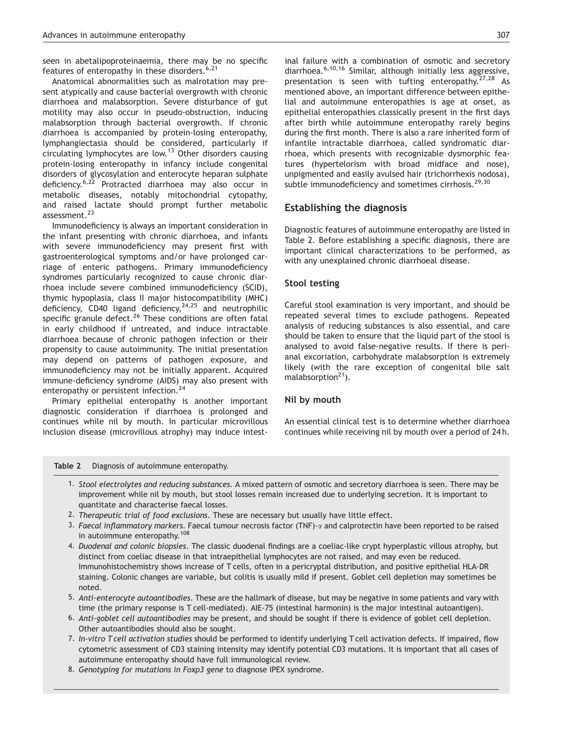seen in abetalipoproteinaemia, there may be no specific features of enteropathy in these disorders.  $6,21$ 

Anatomical abnormalities such as malrotation may present atypically and cause bacterial overgrowth with chronic diarrhoea and malabsorption. Severe disturbance of gut motility may also occur in pseudo-obstruction, inducing malabsorption through bacterial overgrowth. If chronic diarrhoea is accompanied by protein-losing enteropathy, lymphangiectasia should be considered, particularly if circulating lymphocytes are low.<sup>13</sup> Other disorders causing protein-losing enteropathy in infancy include congenital disorders of glycosylation and enterocyte heparan sulphate deficiency.6,22 Protracted diarrhoea may also occur in metabolic diseases, notably mitochondrial cytopathy, and raised lactate should prompt further metabolic assessment.<sup>23</sup>

Immunodeficiency is always an important consideration in the infant presenting with chronic diarrhoea, and infants with severe immunodeficiency may present first with gastroenterological symptoms and/or have prolonged carriage of enteric pathogens. Primary immunodeficiency syndromes particularly recognized to cause chronic diarrhoea include severe combined immunodeficiency (SCID), thymic hypoplasia, class II major histocompatibility (MHC) deficiency, CD40 ligand deficiency,  $24,25$  and neutrophilic specific granule defect.<sup>26</sup> These conditions are often fatal in early childhood if untreated, and induce intractable diarrhoea because of chronic pathogen infection or their propensity to cause autoimmunity. The initial presentation may depend on patterns of pathogen exposure, and immunodeficiency may not be initially apparent. Acquired immune-deficiency syndrome (AIDS) may also present with enteropathy or persistent infection.<sup>24</sup>

Primary epithelial enteropathy is another important diagnostic consideration if diarrhoea is prolonged and continues while nil by mouth. In particular microvillous inclusion disease (microvillous atrophy) may induce intestinal failure with a combination of osmotic and secretory diarrhoea.6,10,16 Similar, although initially less aggressive, presentation is seen with tufting enteropathy.<sup>27,28</sup> As mentioned above, an important difference between epithelial and autoimmune enteropathies is age at onset, as epithelial enteropathies classically present in the first days after birth while autoimmune enteropathy rarely begins during the first month. There is also a rare inherited form of infantile intractable diarrhoea, called syndromatic diarrhoea, which presents with recognizable dysmorphic features (hypertelorism with broad midface and nose), unpigmented and easily avulsed hair (trichorrhexis nodosa), subtle immunodeficiency and sometimes cirrhosis.<sup>29,30</sup>

## Establishing the diagnosis

Diagnostic features of autoimmune enteropathy are listed in Table 2. Before establishing a specific diagnosis, there are important clinical characterizations to be performed, as with any unexplained chronic diarrhoeal disease.

#### Stool testing

Careful stool examination is very important, and should be repeated several times to exclude pathogens. Repeated analysis of reducing substances is also essential, and care should be taken to ensure that the liquid part of the stool is analysed to avoid false-negative results. If there is perianal excoriation, carbohydrate malabsorption is extremely likely (with the rare exception of congenital bile salt malabsorption $21$ ).

#### Nil by mouth

An essential clinical test is to determine whether diarrhoea continues while receiving nil by mouth over a period of 24 h.

#### Table 2 Diagnosis of autoimmune enteropathy.

- 1. Stool electrolytes and reducing substances. A mixed pattern of osmotic and secretory diarrhoea is seen. There may be improvement while nil by mouth, but stool losses remain increased due to underlying secretion. It is important to quantitate and characterise faecal losses.
- 2. Therapeutic trial of food exclusions. These are necessary but usually have little effect.
- 3. Faecal inflammatory markers. Faecal tumour necrosis factor (TNF)- $\alpha$  and calprotectin have been reported to be raised in autoimmune enteropathy.<sup>108</sup>

4. Duodenal and colonic biopsies. The classic duodenal findings are a coeliac-like crypt hyperplastic villous atrophy, but distinct from coeliac disease in that intraepithelial lymphocytes are not raised, and may even be reduced. Immunohistochemistry shows increase of T cells, often in a pericryptal distribution, and positive epithelial HLA-DR staining. Colonic changes are variable, but colitis is usually mild if present. Goblet cell depletion may sometimes be noted.

5. Anti-enterocyte autoantibodies. These are the hallmark of disease, but may be negative in some patients and vary with time (the primary response is T cell-mediated). AIE-75 (intestinal harmonin) is the major intestinal autoantigen).

6. Anti-goblet cell autoantibodies may be present, and should be sought if there is evidence of goblet cell depletion. Other autoantibodies should also be sought.

- 7. In-vitro T cell activation studies should be performed to identify underlying T cell activation defects. If impaired, flow cytometric assessment of CD3 staining intensity may identify potential CD3 mutations. It is important that all cases of autoimmune enteropathy should have full immunological review.
- 8. Genotyping for mutations in Foxp3 gene to diagnose IPEX syndrome.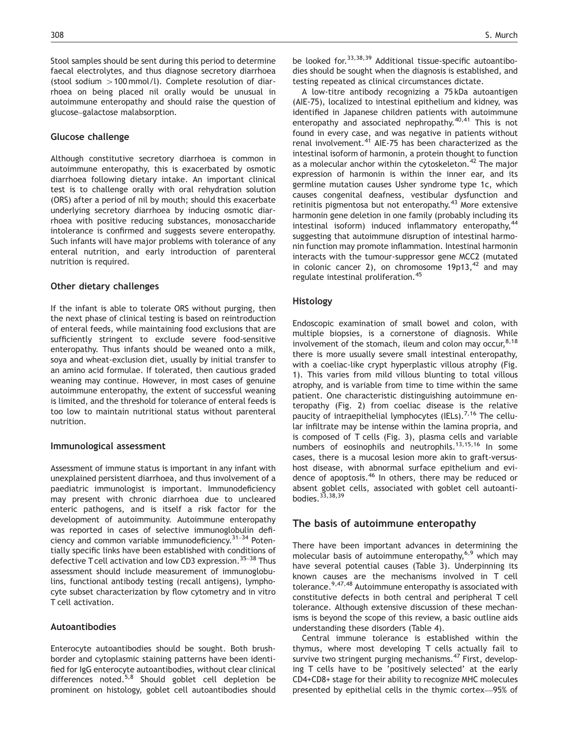Stool samples should be sent during this period to determine faecal electrolytes, and thus diagnose secretory diarrhoea (stool sodium  $>100$  mmol/l). Complete resolution of diarrhoea on being placed nil orally would be unusual in autoimmune enteropathy and should raise the question of glucose–galactose malabsorption.

#### Glucose challenge

Although constitutive secretory diarrhoea is common in autoimmune enteropathy, this is exacerbated by osmotic diarrhoea following dietary intake. An important clinical test is to challenge orally with oral rehydration solution (ORS) after a period of nil by mouth; should this exacerbate underlying secretory diarrhoea by inducing osmotic diarrhoea with positive reducing substances, monosaccharide intolerance is confirmed and suggests severe enteropathy. Such infants will have major problems with tolerance of any enteral nutrition, and early introduction of parenteral nutrition is required.

#### Other dietary challenges

If the infant is able to tolerate ORS without purging, then the next phase of clinical testing is based on reintroduction of enteral feeds, while maintaining food exclusions that are sufficiently stringent to exclude severe food-sensitive enteropathy. Thus infants should be weaned onto a milk, soya and wheat-exclusion diet, usually by initial transfer to an amino acid formulae. If tolerated, then cautious graded weaning may continue. However, in most cases of genuine autoimmune enteropathy, the extent of successful weaning is limited, and the threshold for tolerance of enteral feeds is too low to maintain nutritional status without parenteral nutrition.

#### Immunological assessment

Assessment of immune status is important in any infant with unexplained persistent diarrhoea, and thus involvement of a paediatric immunologist is important. Immunodeficiency may present with chronic diarrhoea due to uncleared enteric pathogens, and is itself a risk factor for the development of autoimmunity. Autoimmune enteropathy was reported in cases of selective immunoglobulin deficiency and common variable immunodeficiency.  $31-34$  Potentially specific links have been established with conditions of defective T cell activation and low CD3 expression.<sup>35-38</sup> Thus assessment should include measurement of immunoglobulins, functional antibody testing (recall antigens), lymphocyte subset characterization by flow cytometry and in vitro T cell activation.

#### Autoantibodies

Enterocyte autoantibodies should be sought. Both brushborder and cytoplasmic staining patterns have been identified for IgG enterocyte autoantibodies, without clear clinical differences noted. $5,8$  Should goblet cell depletion be prominent on histology, goblet cell autoantibodies should be looked for.33,38,39 Additional tissue-specific autoantibodies should be sought when the diagnosis is established, and testing repeated as clinical circumstances dictate.

A low-titre antibody recognizing a 75 kDa autoantigen (AIE-75), localized to intestinal epithelium and kidney, was identified in Japanese children patients with autoimmune enteropathy and associated nephropathy.<sup>40,41</sup> This is not found in every case, and was negative in patients without renal involvement.<sup>41</sup> AIE-75 has been characterized as the intestinal isoform of harmonin, a protein thought to function as a molecular anchor within the cytoskeleton.<sup>42</sup> The major expression of harmonin is within the inner ear, and its germline mutation causes Usher syndrome type 1c, which causes congenital deafness, vestibular dysfunction and retinitis pigmentosa but not enteropathy.<sup>43</sup> More extensive harmonin gene deletion in one family (probably including its intestinal isoform) induced inflammatory enteropathy,  $44$ suggesting that autoimmune disruption of intestinal harmonin function may promote inflammation. Intestinal harmonin interacts with the tumour-suppressor gene MCC2 (mutated in colonic cancer 2), on chromosome  $19p13,^{42}$  and may regulate intestinal proliferation.<sup>45</sup>

## Histology

Endoscopic examination of small bowel and colon, with multiple biopsies, is a cornerstone of diagnosis. While involvement of the stomach, ileum and colon may occur,  $8,18$ there is more usually severe small intestinal enteropathy, with a coeliac-like crypt hyperplastic villous atrophy (Fig. 1). This varies from mild villous blunting to total villous atrophy, and is variable from time to time within the same patient. One characteristic distinguishing autoimmune enteropathy (Fig. 2) from coeliac disease is the relative paucity of intraepithelial lymphocytes (IELs).<sup>7,16</sup> The cellular infiltrate may be intense within the lamina propria, and is composed of T cells (Fig. 3), plasma cells and variable numbers of eosinophils and neutrophils.13,15,16 In some cases, there is a mucosal lesion more akin to graft-versushost disease, with abnormal surface epithelium and evidence of apoptosis.<sup>46</sup> In others, there may be reduced or absent goblet cells, associated with goblet cell autoantibodies.  $33,38,39$ 

## The basis of autoimmune enteropathy

There have been important advances in determining the molecular basis of autoimmune enteropathy, $6,9$  which may have several potential causes (Table 3). Underpinning its known causes are the mechanisms involved in T cell tolerance.<sup>9,47,48</sup> Autoimmune enteropathy is associated with constitutive defects in both central and peripheral T cell tolerance. Although extensive discussion of these mechanisms is beyond the scope of this review, a basic outline aids understanding these disorders (Table 4).

Central immune tolerance is established within the thymus, where most developing T cells actually fail to survive two stringent purging mechanisms.<sup>47</sup> First, developing T cells have to be 'positively selected' at the early CD4+CD8+ stage for their ability to recognize MHC molecules presented by epithelial cells in the thymic cortex—95% of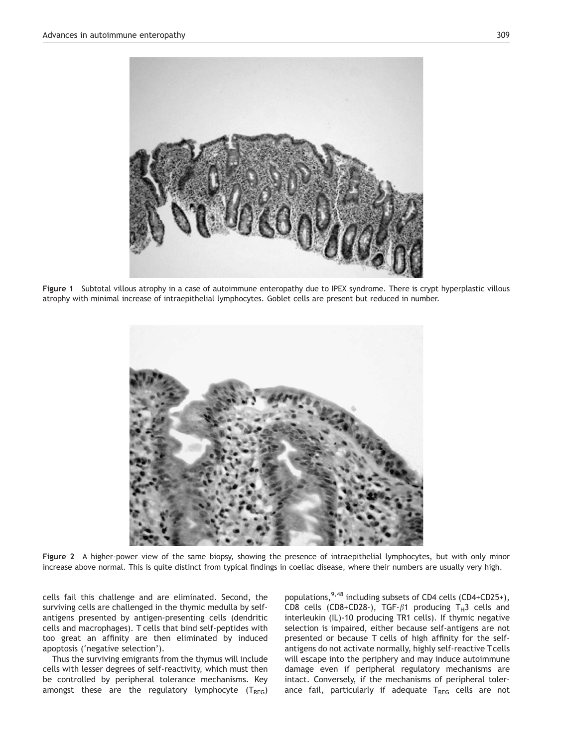

Figure 1 Subtotal villous atrophy in a case of autoimmune enteropathy due to IPEX syndrome. There is crypt hyperplastic villous atrophy with minimal increase of intraepithelial lymphocytes. Goblet cells are present but reduced in number.



Figure 2 A higher-power view of the same biopsy, showing the presence of intraepithelial lymphocytes, but with only minor increase above normal. This is quite distinct from typical findings in coeliac disease, where their numbers are usually very high.

cells fail this challenge and are eliminated. Second, the surviving cells are challenged in the thymic medulla by selfantigens presented by antigen-presenting cells (dendritic cells and macrophages). T cells that bind self-peptides with too great an affinity are then eliminated by induced apoptosis ('negative selection').

Thus the surviving emigrants from the thymus will include cells with lesser degrees of self-reactivity, which must then be controlled by peripheral tolerance mechanisms. Key amongst these are the regulatory lymphocyte  $(T_{REG})$  populations,  $9,48$  including subsets of CD4 cells (CD4+CD25+), CD8 cells (CD8+CD28-), TGF- $\beta$ 1 producing T<sub>H</sub>3 cells and interleukin (IL)-10 producing TR1 cells). If thymic negative selection is impaired, either because self-antigens are not presented or because T cells of high affinity for the selfantigens do not activate normally, highly self-reactive T cells will escape into the periphery and may induce autoimmune damage even if peripheral regulatory mechanisms are intact. Conversely, if the mechanisms of peripheral tolerance fail, particularly if adequate  $T_{REG}$  cells are not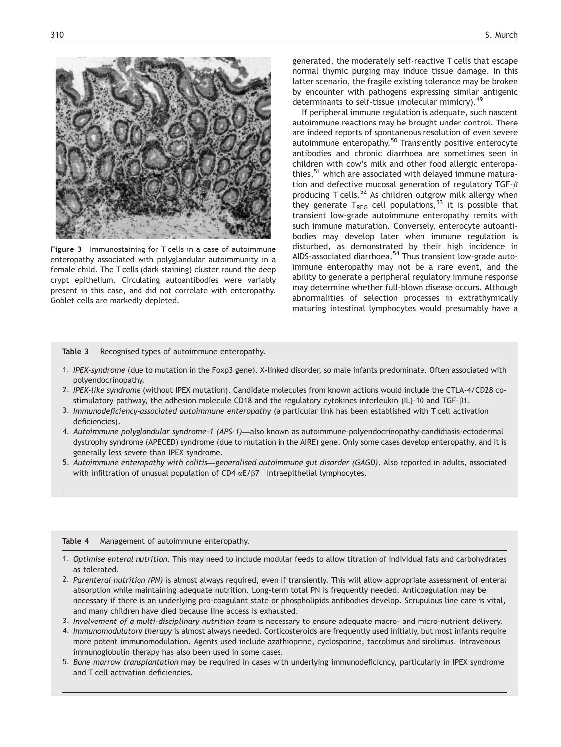

Figure 3 Immunostaining for T cells in a case of autoimmune enteropathy associated with polyglandular autoimmunity in a female child. The T cells (dark staining) cluster round the deep crypt epithelium. Circulating autoantibodies were variably present in this case, and did not correlate with enteropathy. Goblet cells are markedly depleted.

generated, the moderately self-reactive T cells that escape normal thymic purging may induce tissue damage. In this latter scenario, the fragile existing tolerance may be broken by encounter with pathogens expressing similar antigenic determinants to self-tissue (molecular mimicry).<sup>49</sup>

If peripheral immune regulation is adequate, such nascent autoimmune reactions may be brought under control. There are indeed reports of spontaneous resolution of even severe autoimmune enteropathy.<sup>50</sup> Transiently positive enterocyte antibodies and chronic diarrhoea are sometimes seen in children with cow's milk and other food allergic enteropathies,<sup>51</sup> which are associated with delayed immune maturation and defective mucosal generation of regulatory TGF- $\beta$ producing T cells.<sup>52</sup> As children outgrow milk allergy when they generate  $T_{REG}$  cell populations,<sup>53</sup> it is possible that transient low-grade autoimmune enteropathy remits with such immune maturation. Conversely, enterocyte autoantibodies may develop later when immune regulation is disturbed, as demonstrated by their high incidence in AIDS-associated diarrhoea.<sup>54</sup> Thus transient low-grade autoimmune enteropathy may not be a rare event, and the ability to generate a peripheral regulatory immune response may determine whether full-blown disease occurs. Although abnormalities of selection processes in extrathymically maturing intestinal lymphocytes would presumably have a

#### Table 3 Recognised types of autoimmune enteropathy.

- 1. IPEX-syndrome (due to mutation in the Foxp3 gene). X-linked disorder, so male infants predominate. Often associated with polyendocrinopathy.
- 2. IPEX-like syndrome (without IPEX mutation). Candidate molecules from known actions would include the CTLA-4/CD28 costimulatory pathway, the adhesion molecule CD18 and the regulatory cytokines interleukin (IL)-10 and TGF-b1.
- 3. Immunodeficiency-associated autoimmune enteropathy (a particular link has been established with T cell activation deficiencies).
- 4. Autoimmune polyglandular syndrome-1 (APS-1)—also known as autoimmune-polyendocrinopathy-candidiasis-ectodermal dystrophy syndrome (APECED) syndrome (due to mutation in the AIRE) gene. Only some cases develop enteropathy, and it is generally less severe than IPEX syndrome.
- 5. Autoimmune enteropathy with colitis—generalised autoimmune gut disorder (GAGD). Also reported in adults, associated with infiltration of unusual population of CD4  $\alpha$ E/ $\beta$ 7<sup>-</sup> intraepithelial lymphocytes.

#### Table 4 Management of autoimmune enteropathy.

- 1. Optimise enteral nutrition. This may need to include modular feeds to allow titration of individual fats and carbohydrates as tolerated.
- 2. Parenteral nutrition (PN) is almost always required, even if transiently. This will allow appropriate assessment of enteral absorption while maintaining adequate nutrition. Long-term total PN is frequently needed. Anticoagulation may be necessary if there is an underlying pro-coagulant state or phospholipids antibodies develop. Scrupulous line care is vital, and many children have died because line access is exhausted.
- 3. Involvement of a multi-disciplinary nutrition team is necessary to ensure adequate macro- and micro-nutrient delivery.
- 4. Immunomodulatory therapy is almost always needed. Corticosteroids are frequently used initially, but most infants require more potent immunomodulation. Agents used include azathioprine, cyclosporine, tacrolimus and sirolimus. Intravenous immunoglobulin therapy has also been used in some cases.
- 5. Bone marrow transplantation may be required in cases with underlying immunodeficicncy, particularly in IPEX syndrome and T cell activation deficiencies.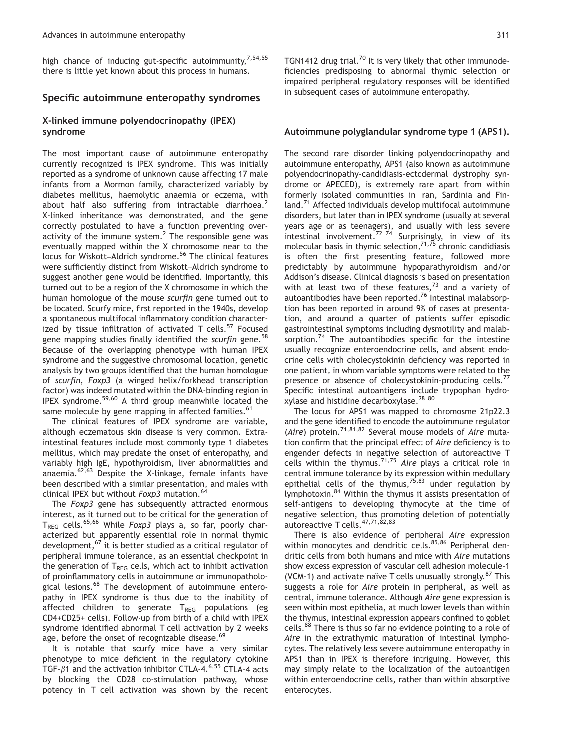high chance of inducing gut-specific autoimmunity,  $7,54,55$ there is little yet known about this process in humans.

#### Specific autoimmune enteropathy syndromes

## X-linked immune polyendocrinopathy (IPEX) syndrome

The most important cause of autoimmune enteropathy currently recognized is IPEX syndrome. This was initially reported as a syndrome of unknown cause affecting 17 male infants from a Mormon family, characterized variably by diabetes mellitus, haemolytic anaemia or eczema, with about half also suffering from intractable diarrhoea. $<sup>2</sup>$ </sup> X-linked inheritance was demonstrated, and the gene correctly postulated to have a function preventing overactivity of the immune system.<sup>2</sup> The responsible gene was eventually mapped within the X chromosome near to the locus for Wiskott–Aldrich syndrome.<sup>56</sup> The clinical features were sufficiently distinct from Wiskott–Aldrich syndrome to suggest another gene would be identified. Importantly, this turned out to be a region of the X chromosome in which the human homologue of the mouse scurfin gene turned out to be located. Scurfy mice, first reported in the 1940s, develop a spontaneous multifocal inflammatory condition characterized by tissue infiltration of activated T cells. $57$  Focused gene mapping studies finally identified the scurfin gene.<sup>58</sup> Because of the overlapping phenotype with human IPEX syndrome and the suggestive chromosomal location, genetic analysis by two groups identified that the human homologue of scurfin, Foxp3 (a winged helix/forkhead transcription factor) was indeed mutated within the DNA-binding region in IPEX syndrome.59,60 A third group meanwhile located the same molecule by gene mapping in affected families.<sup>61</sup>

The clinical features of IPEX syndrome are variable, although eczematous skin disease is very common. Extraintestinal features include most commonly type 1 diabetes mellitus, which may predate the onset of enteropathy, and variably high IgE, hypothyroidism, liver abnormalities and anaemia. $62,63$  Despite the X-linkage, female infants have been described with a similar presentation, and males with clinical IPEX but without Foxp3 mutation.<sup>64</sup>

The Foxp3 gene has subsequently attracted enormous interest, as it turned out to be critical for the generation of T<sub>RFG</sub> cells.<sup>65,66</sup> While Foxp3 plays a, so far, poorly characterized but apparently essential role in normal thymic development,<sup>67</sup> it is better studied as a critical regulator of peripheral immune tolerance, as an essential checkpoint in the generation of  $T_{REG}$  cells, which act to inhibit activation of proinflammatory cells in autoimmune or immunopathological lesions.<sup>68</sup> The development of autoimmune enteropathy in IPEX syndrome is thus due to the inability of affected children to generate  $T_{REG}$  populations (eg CD4+CD25+ cells). Follow-up from birth of a child with IPEX syndrome identified abnormal T cell activation by 2 weeks age, before the onset of recognizable disease.<sup>69</sup>

It is notable that scurfy mice have a very similar phenotype to mice deficient in the regulatory cytokine TGF- $\beta$ 1 and the activation inhibitor CTLA-4.<sup>6,55</sup> CTLA-4 acts by blocking the CD28 co-stimulation pathway, whose potency in T cell activation was shown by the recent TGN1412 drug trial.<sup>70</sup> It is very likely that other immunodeficiencies predisposing to abnormal thymic selection or impaired peripheral regulatory responses will be identified in subsequent cases of autoimmune enteropathy.

#### Autoimmune polyglandular syndrome type 1 (APS1).

The second rare disorder linking polyendocrinopathy and autoimmune enteropathy, APS1 (also known as autoimmune polyendocrinopathy-candidiasis-ectodermal dystrophy syndrome or APECED), is extremely rare apart from within formerly isolated communities in Iran, Sardinia and Finland.<sup>71</sup> Affected individuals develop multifocal autoimmune disorders, but later than in IPEX syndrome (usually at several years age or as teenagers), and usually with less severe intestinal involvement.<sup>72–74</sup> Surprisingly, in view of its molecular basis in thymic selection,  $7^{1,75}$  chronic candidiasis is often the first presenting feature, followed more predictably by autoimmune hypoparathyroidism and/or Addison's disease. Clinical diagnosis is based on presentation with at least two of these features, $73$  and a variety of autoantibodies have been reported.<sup>76</sup> Intestinal malabsorption has been reported in around 9% of cases at presentation, and around a quarter of patients suffer episodic gastrointestinal symptoms including dysmotility and malabsorption. $74$  The autoantibodies specific for the intestine usually recognize enteroendocrine cells, and absent endocrine cells with cholecystokinin deficiency was reported in one patient, in whom variable symptoms were related to the presence or absence of cholecystokinin-producing cells.<sup>77</sup> Specific intestinal autoantigens include trypophan hydroxylase and histidine decarboxylase.78–<sup>80</sup>

The locus for APS1 was mapped to chromosme 21p22.3 and the gene identified to encode the autoimmune regulator (Aire) protein.<sup>71,81,82</sup> Several mouse models of Aire mutation confirm that the principal effect of Aire deficiency is to engender defects in negative selection of autoreactive T cells within the thymus. $7^{1,75}$  Aire plays a critical role in central immune tolerance by its expression within medullary epithelial cells of the thymus,  $75,83$  under regulation by lymphotoxin.<sup>84</sup> Within the thymus it assists presentation of self-antigens to developing thymocyte at the time of negative selection, thus promoting deletion of potentially autoreactive T cells. 47,71,82,83

There is also evidence of peripheral Aire expression within monocytes and dendritic cells.<sup>85,86</sup> Peripheral dendritic cells from both humans and mice with Aire mutations show excess expression of vascular cell adhesion molecule-1 (VCM-1) and activate naïve T cells unusually strongly. $87$  This suggests a role for Aire protein in peripheral, as well as central, immune tolerance. Although Aire gene expression is seen within most epithelia, at much lower levels than within the thymus, intestinal expression appears confined to goblet cells.<sup>88</sup> There is thus so far no evidence pointing to a role of Aire in the extrathymic maturation of intestinal lymphocytes. The relatively less severe autoimmune enteropathy in APS1 than in IPEX is therefore intriguing. However, this may simply relate to the localization of the autoantigen within enteroendocrine cells, rather than within absorptive enterocytes.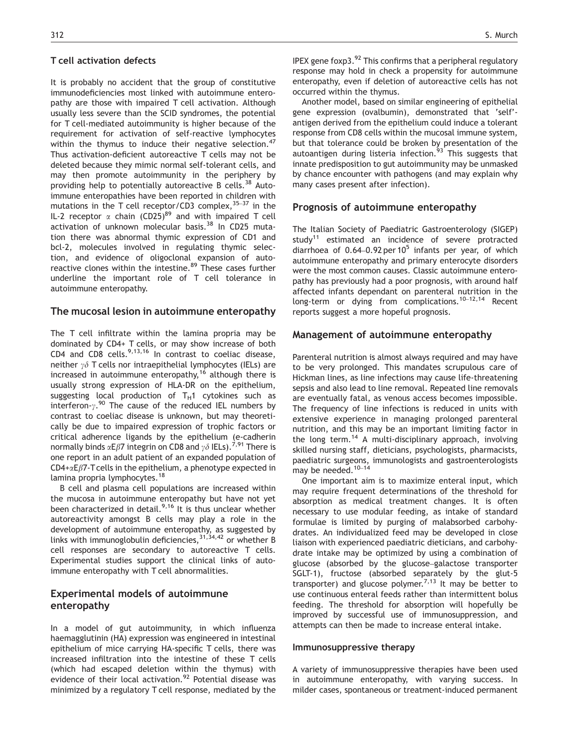#### T cell activation defects

It is probably no accident that the group of constitutive immunodeficiencies most linked with autoimmune enteropathy are those with impaired T cell activation. Although usually less severe than the SCID syndromes, the potential for T cell-mediated autoimmunity is higher because of the requirement for activation of self-reactive lymphocytes within the thymus to induce their negative selection.<sup>47</sup> Thus activation-deficient autoreactive T cells may not be deleted because they mimic normal self-tolerant cells, and may then promote autoimmunity in the periphery by providing help to potentially autoreactive B cells.<sup>38</sup> Autoimmune enteropathies have been reported in children with mutations in the T cell receptor/CD3 complex,35–<sup>37</sup> in the IL-2 receptor  $\alpha$  chain (CD25)<sup>89</sup> and with impaired T cell activation of unknown molecular basis.<sup>38</sup> In CD25 mutation there was abnormal thymic expression of CD1 and bcl-2, molecules involved in regulating thymic selection, and evidence of oligoclonal expansion of autoreactive clones within the intestine.<sup>89</sup> These cases further underline the important role of T cell tolerance in autoimmune enteropathy.

## The mucosal lesion in autoimmune enteropathy

The T cell infiltrate within the lamina propria may be dominated by CD4+ T cells, or may show increase of both CD4 and CD8 cells. $9,13,16$  In contrast to coeliac disease, neither  $\gamma\delta$  T cells nor intraepithelial lymphocytes (IELs) are increased in autoimmune enteropathy,<sup>16</sup> although there is usually strong expression of HLA-DR on the epithelium, suggesting local production of  $T_H1$  cytokines such as interferon- $\gamma$ .<sup>90</sup> The cause of the reduced IEL numbers by contrast to coeliac disease is unknown, but may theoretically be due to impaired expression of trophic factors or critical adherence ligands by the epithelium (e-cadherin normally binds  $\alpha$ E $\beta$ 7 integrin on CD8 and  $\gamma\delta$  IELs).<sup>7,91</sup> There is one report in an adult patient of an expanded population of  $CD4+\alpha E\beta$ 7-T cells in the epithelium, a phenotype expected in lamina propria lymphocytes.<sup>18</sup>

B cell and plasma cell populations are increased within the mucosa in autoimmune enteropathy but have not yet been characterized in detail.<sup>9,16</sup> It is thus unclear whether autoreactivity amongst B cells may play a role in the development of autoimmune enteropathy, as suggested by links with immunoglobulin deficiencies,  $31,34,42$  or whether B cell responses are secondary to autoreactive T cells. Experimental studies support the clinical links of autoimmune enteropathy with T cell abnormalities.

## Experimental models of autoimmune enteropathy

In a model of gut autoimmunity, in which influenza haemagglutinin (HA) expression was engineered in intestinal epithelium of mice carrying HA-specific T cells, there was increased infiltration into the intestine of these T cells (which had escaped deletion within the thymus) with evidence of their local activation.<sup>92</sup> Potential disease was minimized by a regulatory T cell response, mediated by the

IPEX gene foxp3. $92$  This confirms that a peripheral regulatory response may hold in check a propensity for autoimmune enteropathy, even if deletion of autoreactive cells has not occurred within the thymus.

Another model, based on similar engineering of epithelial gene expression (ovalbumin), demonstrated that 'self' antigen derived from the epithelium could induce a tolerant response from CD8 cells within the mucosal immune system, but that tolerance could be broken by presentation of the autoantigen during listeria infection. $^{93}$  This suggests that innate predisposition to gut autoimmunity may be unmasked by chance encounter with pathogens (and may explain why many cases present after infection).

## Prognosis of autoimmune enteropathy

The Italian Society of Paediatric Gastroenterology (SIGEP) study<sup>11</sup> estimated an incidence of severe protracted diarrhoea of  $0.64-0.92$  per 10<sup>5</sup> infants per year, of which autoimmune enteropathy and primary enterocyte disorders were the most common causes. Classic autoimmune enteropathy has previously had a poor prognosis, with around half affected infants dependant on parenteral nutrition in the long-term or dying from complications.<sup>10–12,14</sup> Recent reports suggest a more hopeful prognosis.

#### Management of autoimmune enteropathy

Parenteral nutrition is almost always required and may have to be very prolonged. This mandates scrupulous care of Hickman lines, as line infections may cause life-threatening sepsis and also lead to line removal. Repeated line removals are eventually fatal, as venous access becomes impossible. The frequency of line infections is reduced in units with extensive experience in managing prolonged parenteral nutrition, and this may be an important limiting factor in the long term.<sup>14</sup> A multi-disciplinary approach, involving skilled nursing staff, dieticians, psychologists, pharmacists, paediatric surgeons, immunologists and gastroenterologists may be needed.<sup>10-14</sup>

One important aim is to maximize enteral input, which may require frequent determinations of the threshold for absorption as medical treatment changes. It is often necessary to use modular feeding, as intake of standard formulae is limited by purging of malabsorbed carbohydrates. An individualized feed may be developed in close liaison with experienced paediatric dieticians, and carbohydrate intake may be optimized by using a combination of glucose (absorbed by the glucose–galactose transporter SGLT-1), fructose (absorbed separately by the glut-5 transporter) and glucose polymer.<sup>7,13</sup> It may be better to use continuous enteral feeds rather than intermittent bolus feeding. The threshold for absorption will hopefully be improved by successful use of immunosuppression, and attempts can then be made to increase enteral intake.

#### Immunosuppressive therapy

A variety of immunosuppressive therapies have been used in autoimmune enteropathy, with varying success. In milder cases, spontaneous or treatment-induced permanent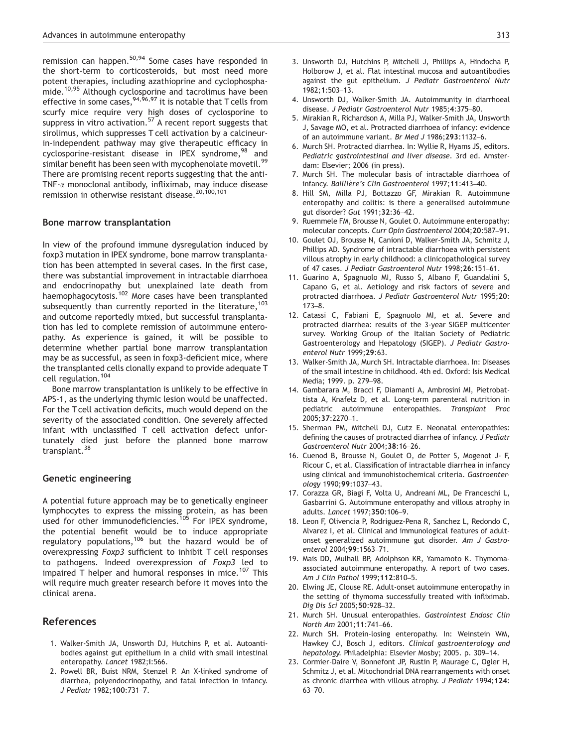remission can happen.<sup>50,94</sup> Some cases have responded in the short-term to corticosteroids, but most need more potent therapies, including azathioprine and cyclophosphamide.10,95 Although cyclosporine and tacrolimus have been effective in some cases,  $94,96,97$  it is notable that T cells from scurfy mice require very high doses of cyclosporine to suppress in vitro activation.<sup>57</sup> A recent report suggests that sirolimus, which suppresses T cell activation by a calcineurin-independent pathway may give therapeutic efficacy in cyclosporine-resistant disease in IPEX syndrome,<sup>98</sup> and similar benefit has been seen with mycophenolate movetil.<sup>99</sup> There are promising recent reports suggesting that the anti-TNF- $\alpha$  monoclonal antibody, infliximab, may induce disease remission in otherwise resistant disease.<sup>20,100,101</sup>

#### Bone marrow transplantation

In view of the profound immune dysregulation induced by foxp3 mutation in IPEX syndrome, bone marrow transplantation has been attempted in several cases. In the first case, there was substantial improvement in intractable diarrhoea and endocrinopathy but unexplained late death from haemophagocytosis.<sup>102</sup> More cases have been transplanted subsequently than currently reported in the literature,  $103$ and outcome reportedly mixed, but successful transplantation has led to complete remission of autoimmune enteropathy. As experience is gained, it will be possible to determine whether partial bone marrow transplantation may be as successful, as seen in foxp3-deficient mice, where the transplanted cells clonally expand to provide adequate T cell regulation.<sup>104</sup>

Bone marrow transplantation is unlikely to be effective in APS-1, as the underlying thymic lesion would be unaffected. For the T cell activation deficits, much would depend on the severity of the associated condition. One severely affected infant with unclassified T cell activation defect unfortunately died just before the planned bone marrow transplant.<sup>38</sup>

#### Genetic engineering

A potential future approach may be to genetically engineer lymphocytes to express the missing protein, as has been used for other immunodeficiencies.<sup>105</sup> For IPEX syndrome, the potential benefit would be to induce appropriate regulatory populations,<sup>106</sup> but the hazard would be of overexpressing Foxp3 sufficient to inhibit T cell responses to pathogens. Indeed overexpression of Foxp3 led to impaired T helper and humoral responses in mice.<sup>107</sup> This will require much greater research before it moves into the clinical arena.

## References

- 1. Walker-Smith JA, Unsworth DJ, Hutchins P, et al. Autoantibodies against gut epithelium in a child with small intestinal enteropathy. Lancet 1982;i:566.
- 2. Powell BR, Buist NRM, Stenzel P. An X-linked syndrome of diarrhea, polyendocrinopathy, and fatal infection in infancy. J Pediatr 1982;100:731–7.
- 3. Unsworth DJ, Hutchins P, Mitchell J, Phillips A, Hindocha P, Holborow J, et al. Flat intestinal mucosa and autoantibodies against the gut epithelium. J Pediatr Gastroenterol Nutr 1982;1:503–13.
- 4. Unsworth DJ, Walker-Smith JA. Autoimmunity in diarrhoeal disease. J Pediatr Gastroenterol Nutr 1985;4:375–80.
- 5. Mirakian R, Richardson A, Milla PJ, Walker-Smith JA, Unsworth J, Savage MO, et al. Protracted diarrhoea of infancy: evidence of an autoimmune variant. Br Med J 1986;293:1132–6.
- 6. Murch SH. Protracted diarrhea. In: Wyllie R, Hyams JS, editors. Pediatric gastrointestinal and liver disease. 3rd ed. Amsterdam: Elsevier; 2006 (in press).
- 7. Murch SH. The molecular basis of intractable diarrhoea of infancy. Baillière's Clin Gastroenterol 1997;11:413-40.
- 8. Hill SM, Milla PJ, Bottazzo GF, Mirakian R. Autoimmune enteropathy and colitis: is there a generalised autoimmune gut disorder? Gut 1991;32:36–42.
- 9. Ruemmele FM, Brousse N, Goulet O. Autoimmune enteropathy: molecular concepts. Curr Opin Gastroenterol 2004;20:587–91.
- 10. Goulet OJ, Brousse N, Canioni D, Walker-Smith JA, Schmitz J, Phillips AD. Syndrome of intractable diarrhoea with persistent villous atrophy in early childhood: a clinicopathological survey of 47 cases. J Pediatr Gastroenterol Nutr 1998;26:151–61.
- 11. Guarino A, Spagnuolo MI, Russo S, Albano F, Guandalini S, Capano G, et al. Aetiology and risk factors of severe and protracted diarrhoea. J Pediatr Gastroenterol Nutr 1995;20: 173–8.
- 12. Catassi C, Fabiani E, Spagnuolo MI, et al. Severe and protracted diarrhea: results of the 3-year SIGEP multicenter survey. Working Group of the Italian Society of Pediatric Gastroenterology and Hepatology (SIGEP). J Pediatr Gastroenterol Nutr 1999;29:63.
- 13. Walker-Smith JA, Murch SH. Intractable diarrhoea. In: Diseases of the small intestine in childhood. 4th ed. Oxford: Isis Medical Media; 1999. p. 279–98.
- 14. Gambarara M, Bracci F, Diamanti A, Ambrosini MI, Pietrobattista A, Knafelz D, et al. Long-term parenteral nutrition in pediatric autoimmune enteropathies. Transplant Proc 2005;37:2270–1.
- 15. Sherman PM, Mitchell DJ, Cutz E. Neonatal enteropathies: defining the causes of protracted diarrhea of infancy. J Pediatr Gastroenterol Nutr 2004;38:16–26.
- 16. Cuenod B, Brousse N, Goulet O, de Potter S, Mogenot J- F, Ricour C, et al. Classification of intractable diarrhea in infancy using clinical and immunohistochemical criteria. Gastroenterology 1990;99:1037–43.
- 17. Corazza GR, Biagi F, Volta U, Andreani ML, De Franceschi L, Gasbarrini G. Autoimmune enteropathy and villous atrophy in adults. Lancet 1997;350:106–9.
- 18. Leon F, Olivencia P, Rodriguez-Pena R, Sanchez L, Redondo C, Alvarez I, et al. Clinical and immunological features of adultonset generalized autoimmune gut disorder. Am J Gastroenterol 2004;99:1563–71.
- 19. Mais DD, Mulhall BP, Adolphson KR, Yamamoto K. Thymomaassociated autoimmune enteropathy. A report of two cases. Am J Clin Pathol 1999;112:810–5.
- 20. Elwing JE, Clouse RE. Adult-onset autoimmune enteropathy in the setting of thymoma successfully treated with infliximab. Dig Dis Sci 2005;50:928–32.
- 21. Murch SH. Unusual enteropathies. Gastrointest Endosc Clin North Am 2001;11:741–66.
- 22. Murch SH. Protein-losing enteropathy. In: Weinstein WM, Hawkey CJ, Bosch J, editors. Clinical gastroenterology and hepatology. Philadelphia: Elsevier Mosby; 2005. p. 309–14.
- 23. Cormier-Daire V, Bonnefont JP, Rustin P, Maurage C, Ogler H, Schmitz J, et al. Mitochondrial DNA rearrangements with onset as chronic diarrhea with villous atrophy. J Pediatr 1994;124: 63–70.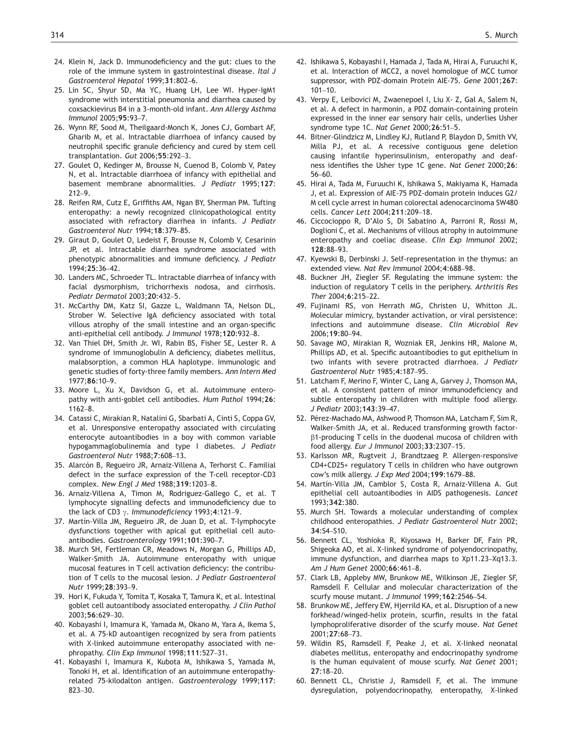- 24. Klein N, Jack D. Immunodeficiency and the gut: clues to the role of the immune system in gastrointestinal disease. Ital J Gastroenterol Hepatol 1999;31:802–6.
- 25. Lin SC, Shyur SD, Ma YC, Huang LH, Lee WI. Hyper-IgM1 syndrome with interstitial pneumonia and diarrhea caused by coxsackievirus B4 in a 3-month-old infant. Ann Allergy Asthma Immunol 2005;95:93–7.
- 26. Wynn RF, Sood M, Theilgaard-Monch K, Jones CJ, Gombart AF, Gharib M, et al. Intractable diarrhoea of infancy caused by neutrophil specific granule deficiency and cured by stem cell transplantation. Gut 2006;55:292–3.
- 27. Goulet O, Kedinger M, Brousse N, Cuenod B, Colomb V, Patey N, et al. Intractable diarrhoea of infancy with epithelial and basement membrane abnormalities. J Pediatr 1995;127: 212–9.
- 28. Reifen RM, Cutz E, Griffiths AM, Ngan BY, Sherman PM. Tufting enteropathy: a newly recognized clinicopathological entity associated with refractory diarrhea in infants. J Pediatr Gastroenterol Nutr 1994;18:379–85.
- 29. Giraut D, Goulet O, Ledeist F, Brousse N, Colomb V, Cesarinin JP, et al. Intractable diarrhea syndrome associated with phenotypic abnormalities and immune deficiency. J Pediatr 1994;25:36–42.
- 30. Landers MC, Schroeder TL. Intractable diarrhea of infancy with facial dysmorphism, trichorrhexis nodosa, and cirrhosis. Pediatr Dermatol 2003;20:432–5.
- 31. McCarthy DM, Katz SI, Gazze L, Waldmann TA, Nelson DL, Strober W. Selective IgA deficiency associated with total villous atrophy of the small intestine and an organ-specific anti-epithelial cell antibody. J Immunol 1978;120:932–8.
- 32. Van Thiel DH, Smith Jr. WI, Rabin BS, Fisher SE, Lester R. A syndrome of immunoglobulin A deficiency, diabetes mellitus, malabsorption, a common HLA haplotype. Immunologic and genetic studies of forty-three family members. Ann Intern Med 1977;86:10–9.
- 33. Moore L, Xu X, Davidson G, et al. Autoimmune enteropathy with anti-goblet cell antibodies. Hum Pathol 1994;26: 1162–8.
- 34. Catassi C, Mirakian R, Natalini G, Sbarbati A, Cinti S, Coppa GV, et al. Unresponsive enteropathy associated with circulating enterocyte autoantibodies in a boy with common variable hypogammaglobulinemia and type I diabetes. J Pediatr Gastroenterol Nutr 1988;7:608–13.
- 35. Alarcón B, Regueiro JR, Arnaiz-Villena A, Terhorst C. Familial defect in the surface expression of the T-cell receptor-CD3 complex. New Engl J Med 1988;319:1203–8.
- 36. Arnaiz-Villena A, Timon M, Rodriguez-Gallego C, et al. T lymphocyte signalling defects and immunodeficiency due to the lack of CD3  $\gamma$ . Immunodeficiency 1993;4:121-9.
- 37. Martín-Villa JM, Regueiro JR, de Juan D, et al. T-lymphocyte dysfunctions together with apical gut epithelial cell autoantibodies. Gastroenterology 1991;101:390–7.
- 38. Murch SH, Fertleman CR, Meadows N, Morgan G, Phillips AD, Walker-Smith JA. Autoimmune enteropathy with unique mucosal features in T cell activation deficiency: the contribution of T cells to the mucosal lesion. J Pediatr Gastroenterol Nutr 1999;28:393–9.
- 39. Hori K, Fukuda Y, Tomita T, Kosaka T, Tamura K, et al. Intestinal goblet cell autoantibody associated enteropathy. J Clin Pathol 2003;56:629–30.
- 40. Kobayashi I, Imamura K, Yamada M, Okano M, Yara A, Ikema S, et al. A 75-kD autoantigen recognized by sera from patients with X-linked autoimmune enteropathy associated with nephropathy. Clin Exp Immunol 1998;111:527–31.
- 41. Kobayashi I, Imamura K, Kubota M, Ishikawa S, Yamada M, Tonoki H, et al. Identification of an autoimmune enteropathyrelated 75-kilodalton antigen. Gastroenterology 1999;117: 823–30.
- 42. Ishikawa S, Kobayashi I, Hamada J, Tada M, Hirai A, Furuuchi K, et al. Interaction of MCC2, a novel homologue of MCC tumor suppressor, with PDZ-domain Protein AIE-75. Gene 2001;267:  $101 - 10$ .
- 43. Verpy E, Leibovici M, Zwaenepoel I, Liu X- Z, Gal A, Salem N, et al. A defect in harmonin, a PDZ domain-containing protein expressed in the inner ear sensory hair cells, underlies Usher syndrome type 1C. Nat Genet 2000;26:51–5.
- 44. Bitner-Glindzicz M, Lindley KJ, Rutland P, Blaydon D, Smith VV, Milla PJ, et al. A recessive contiguous gene deletion causing infantile hyperinsulinism, enteropathy and deafness identifies the Usher type 1C gene. Nat Genet 2000;26: 56–60.
- 45. Hirai A, Tada M, Furuuchi K, Ishikawa S, Makiyama K, Hamada J, et al. Expression of AIE-75 PDZ-domain protein induces G2/ M cell cycle arrest in human colorectal adenocarcinoma SW480 cells. Cancer Lett 2004;211:209–18.
- 46. Ciccocioppo R, D'Alo S, Di Sabatino A, Parroni R, Rossi M, Doglioni C, et al. Mechanisms of villous atrophy in autoimmune enteropathy and coeliac disease. Clin Exp Immunol 2002; 128:88–93.
- 47. Kyewski B, Derbinski J. Self-representation in the thymus: an extended view. Nat Rev Immunol 2004;4:688–98.
- 48. Buckner JH, Ziegler SF. Regulating the immune system: the induction of regulatory T cells in the periphery. Arthritis Res Ther 2004;6:215–22.
- 49. Fujinami RS, von Herrath MG, Christen U, Whitton JL. Molecular mimicry, bystander activation, or viral persistence: infections and autoimmune disease. Clin Microbiol Rev 2006;19:80–94.
- 50. Savage MO, Mirakian R, Wozniak ER, Jenkins HR, Malone M, Phillips AD, et al. Specific autoantibodies to gut epithelium in two infants with severe protracted diarrhoea. J Pediatr Gastroenterol Nutr 1985;4:187–95.
- 51. Latcham F, Merino F, Winter C, Lang A, Garvey J, Thomson MA, et al. A consistent pattern of minor immunodeficiency and subtle enteropathy in children with multiple food allergy. J Pediatr 2003;143:39–47.
- 52. Pérez-Machado MA, Ashwood P, Thomson MA, Latcham F, Sim R, Walker-Smith JA, et al. Reduced transforming growth factor- $\beta$ 1-producing T cells in the duodenal mucosa of children with food allergy. Eur J Immunol 2003;33:2307–15.
- 53. Karlsson MR, Rugtveit J, Brandtzaeg P. Allergen-responsive CD4+CD25+ regulatory T cells in children who have outgrown cow's milk allergy. J Exp Med 2004;199:1679–88.
- 54. Martín-Villa JM, Camblor S, Costa R, Arnaiz-Villena A. Gut epithelial cell autoantibodies in AIDS pathogenesis. Lancet 1993;342:380.
- 55. Murch SH. Towards a molecular understanding of complex childhood enteropathies. J Pediatr Gastroenterol Nutr 2002; 34:S4–S10.
- 56. Bennett CL, Yoshioka R, Kiyosawa H, Barker DF, Fain PR, Shigeoka AO, et al. X-linked syndrome of polyendocrinopathy, immune dysfunction, and diarrhea maps to Xp11.23–Xq13.3. Am J Hum Genet 2000;66:461–8.
- 57. Clark LB, Appleby MW, Brunkow ME, Wilkinson JE, Ziegler SF, Ramsdell F. Cellular and molecular characterization of the scurfy mouse mutant. J Immunol 1999;162:2546–54.
- 58. Brunkow ME, Jeffery EW, Hjerrild KA, et al. Disruption of a new forkhead/winged-helix protein, scurfin, results in the fatal lymphoproliferative disorder of the scurfy mouse. Nat Genet 2001;27:68–73.
- 59. Wildin RS, Ramsdell F, Peake J, et al. X-linked neonatal diabetes mellitus, enteropathy and endocrinopathy syndrome is the human equivalent of mouse scurfy. Nat Genet 2001; 27:18–20.
- 60. Bennett CL, Christie J, Ramsdell F, et al. The immune dysregulation, polyendocrinopathy, enteropathy, X-linked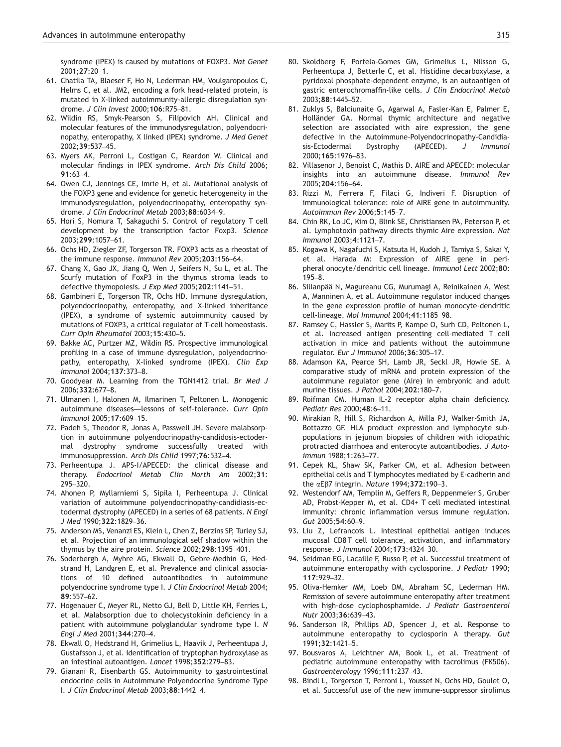syndrome (IPEX) is caused by mutations of FOXP3. Nat Genet 2001;27:20–1.

- 61. Chatila TA, Blaeser F, Ho N, Lederman HM, Voulgaropoulos C, Helms C, et al. JM2, encoding a fork head-related protein, is mutated in X-linked autoimmunity-allergic disregulation syndrome. J Clin Invest 2000;106:R75–81.
- 62. Wildin RS, Smyk-Pearson S, Filipovich AH. Clinical and molecular features of the immunodysregulation, polyendocrinopathy, enteropathy, X linked (IPEX) syndrome. J Med Genet 2002;39:537–45.
- 63. Myers AK, Perroni L, Costigan C, Reardon W. Clinical and molecular findings in IPEX syndrome. Arch Dis Child 2006; 91:63–4.
- 64. Owen CJ, Jennings CE, Imrie H, et al. Mutational analysis of the FOXP3 gene and evidence for genetic heterogeneity in the immunodysregulation, polyendocrinopathy, enteropathy syndrome. J Clin Endocrinol Metab 2003;88:6034–9.
- 65. Hori S, Nomura T, Sakaguchi S. Control of regulatory T cell development by the transcription factor Foxp3. Science 2003;299:1057–61.
- 66. Ochs HD, Ziegler ZF, Torgerson TR. FOXP3 acts as a rheostat of the immune response. Immunol Rev 2005;203:156–64.
- 67. Chang X, Gao JX, Jiang Q, Wen J, Seifers N, Su L, et al. The Scurfy mutation of FoxP3 in the thymus stroma leads to defective thymopoiesis. J Exp Med 2005;202:1141–51.
- 68. Gambineri E, Torgerson TR, Ochs HD. Immune dysregulation, polyendocrinopathy, enteropathy, and X-linked inheritance (IPEX), a syndrome of systemic autoimmunity caused by mutations of FOXP3, a critical regulator of T-cell homeostasis. Curr Opin Rheumatol 2003;15:430–5.
- 69. Bakke AC, Purtzer MZ, Wildin RS. Prospective immunological profiling in a case of immune dysregulation, polyendocrinopathy, enteropathy, X-linked syndrome (IPEX). Clin Exp Immunol 2004;137:373–8.
- 70. Goodyear M. Learning from the TGN1412 trial. Br Med J 2006;332:677–8.
- 71. Ulmanen I, Halonen M, Ilmarinen T, Peltonen L. Monogenic autoimmune diseases—lessons of self-tolerance. Curr Opin Immunol 2005;17:609–15.
- 72. Padeh S, Theodor R, Jonas A, Passwell JH. Severe malabsorption in autoimmune polyendocrinopathy-candidosis-ectodermal dystrophy syndrome successfully treated with immunosuppression. Arch Dis Child 1997;76:532–4.
- 73. Perheentupa J. APS-I/APECED: the clinical disease and therapy. Endocrinol Metab Clin North Am 2002;31: 295–320.
- 74. Ahonen P, Myllarniemi S, Sipila I, Perheentupa J. Clinical variation of autoimmune polyendocrinopathy-candidiasis-ectodermal dystrophy (APECED) in a series of 68 patients. N Engl J Med 1990;322:1829–36.
- 75. Anderson MS, Venanzi ES, Klein L, Chen Z, Berzins SP, Turley SJ, et al. Projection of an immunological self shadow within the thymus by the aire protein. Science 2002;298:1395–401.
- 76. Soderbergh A, Myhre AG, Ekwall O, Gebre-Medhin G, Hedstrand H, Landgren E, et al. Prevalence and clinical associations of 10 defined autoantibodies in autoimmune polyendocrine syndrome type I. J Clin Endocrinol Metab 2004; 89:557–62.
- 77. Hogenauer C, Meyer RL, Netto GJ, Bell D, Little KH, Ferries L, et al. Malabsorption due to cholecystokinin deficiency in a patient with autoimmune polyglandular syndrome type I. N Engl J Med 2001;344:270–4.
- 78. Ekwall O, Hedstrand H, Grimelius L, Haavik J, Perheentupa J, Gustafsson J, et al. Identification of tryptophan hydroxylase as an intestinal autoantigen. Lancet 1998;352:279–83.
- 79. Gianani R, Eisenbarth GS. Autoimmunity to gastrointestinal endocrine cells in Autoimmune Polyendocrine Syndrome Type I. J Clin Endocrinol Metab 2003;88:1442–4.
- 80. Skoldberg F, Portela-Gomes GM, Grimelius L, Nilsson G, Perheentupa J, Betterle C, et al. Histidine decarboxylase, a pyridoxal phosphate-dependent enzyme, is an autoantigen of gastric enterochromaffin-like cells. J Clin Endocrinol Metab 2003;88:1445–52.
- 81. Zuklys S, Balciunaite G, Agarwal A, Fasler-Kan E, Palmer E, Holländer GA. Normal thymic architecture and negative selection are associated with aire expression, the gene defective in the Autoimmune-Polyendocrinopathy-Candidiasis-Ectodermal Dystrophy (APECED). J Immunol 2000;165:1976–83.
- 82. Villasenor J, Benoist C, Mathis D. AIRE and APECED: molecular insights into an autoimmune disease. Immunol Rev 2005;204:156–64.
- 83. Rizzi M, Ferrera F, Filaci G, Indiveri F. Disruption of immunological tolerance: role of AIRE gene in autoimmunity. Autoimmun Rev 2006;5:145–7.
- 84. Chin RK, Lo JC, Kim O, Blink SE, Christiansen PA, Peterson P, et al. Lymphotoxin pathway directs thymic Aire expression. Nat Immunol 2003;4:1121–7.
- 85. Kogawa K, Nagafuchi S, Katsuta H, Kudoh J, Tamiya S, Sakai Y, et al. Harada M: Expression of AIRE gene in peripheral onocyte/dendritic cell lineage. Immunol Lett 2002;80: 195–8.
- 86. Sillanpää N, Magureanu CG, Murumagi A, Reinikainen A, West A, Manninen A, et al. Autoimmune regulator induced changes in the gene expression profile of human monocyte-dendritic cell-lineage. Mol Immunol 2004;41:1185–98.
- 87. Ramsey C, Hassler S, Marits P, Kampe O, Surh CD, Peltonen L, et al. Increased antigen presenting cell-mediated T cell activation in mice and patients without the autoimmune regulator. Eur J Immunol 2006;36:305–17.
- 88. Adamson KA, Pearce SH, Lamb JR, Seckl JR, Howie SE. A comparative study of mRNA and protein expression of the autoimmune regulator gene (Aire) in embryonic and adult murine tissues. J Pathol 2004;202:180–7.
- 89. Roifman CM. Human IL-2 receptor alpha chain deficiency. Pediatr Res 2000;48:6–11.
- 90. Mirakian R, Hill S, Richardson A, Milla PJ, Walker-Smith JA, Bottazzo GF. HLA product expression and lymphocyte subpopulations in jejunum biopsies of children with idiopathic protracted diarrhoea and enterocyte autoantibodies. J Autoimmun 1988;1:263–77.
- 91. Cepek KL, Shaw SK, Parker CM, et al. Adhesion between epithelial cells and T lymphocytes mediated by E-cadherin and the  $\alpha$ E $\beta$ 7 integrin. Nature 1994;372:190-3.
- 92. Westendorf AM, Templin M, Geffers R, Deppenmeier S, Gruber AD, Probst-Kepper M, et al. CD4+ T cell mediated intestinal immunity: chronic inflammation versus immune regulation. Gut 2005;54:60–9.
- 93. Liu Z, Lefrancois L. Intestinal epithelial antigen induces mucosal CD8 T cell tolerance, activation, and inflammatory response. J Immunol 2004;173:4324–30.
- 94. Seidman EG, Lacaille F, Russo P, et al. Successful treatment of autoimmune enteropathy with cyclosporine. J Pediatr 1990; 117:929–32.
- 95. Oliva-Hemker MM, Loeb DM, Abraham SC, Lederman HM. Remission of severe autoimmune enteropathy after treatment with high-dose cyclophosphamide. J Pediatr Gastroenterol Nutr 2003;36:639–43.
- 96. Sanderson IR, Phillips AD, Spencer J, et al. Response to autoimmune enteropathy to cyclosporin A therapy. Gut 1991;32:1421–5.
- 97. Bousvaros A, Leichtner AM, Book L, et al. Treatment of pediatric autoimmune enteropathy with tacrolimus (FK506). Gastroenterology 1996;111:237–43.
- 98. Bindl L, Torgerson T, Perroni L, Youssef N, Ochs HD, Goulet O, et al. Successful use of the new immune-suppressor sirolimus